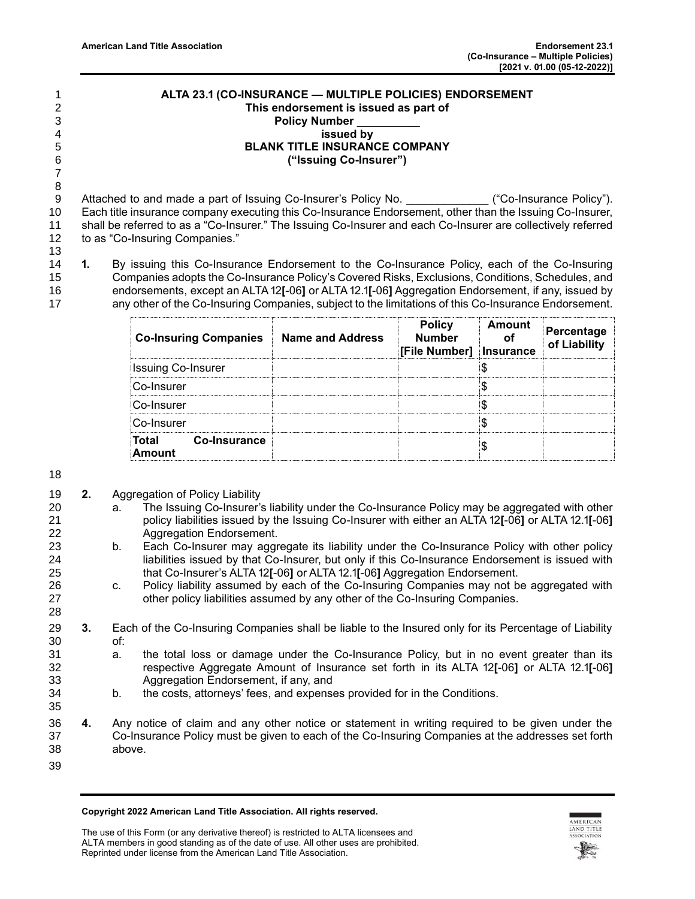## **ALTA 23.1 (CO-INSURANCE — MULTIPLE POLICIES) ENDORSEMENT This endorsement is issued as part of Policy Number \_\_\_\_\_\_\_\_\_\_ issued by BLANK TITLE INSURANCE COMPANY ("Issuing Co-Insurer")**

 

9 Attached to and made a part of Issuing Co-Insurer's Policy No. \_\_\_\_\_\_\_\_\_\_\_\_\_ ("Co-Insurance Policy"). Each title insurance company executing this Co-Insurance Endorsement, other than the Issuing Co-Insurer, shall be referred to as a "Co-Insurer." The Issuing Co-Insurer and each Co-Insurer are collectively referred to as "Co-Insuring Companies."

 **1.** By issuing this Co-Insurance Endorsement to the Co-Insurance Policy, each of the Co-Insuring Companies adopts the Co-Insurance Policy's Covered Risks, Exclusions, Conditions, Schedules, and endorsements, except an ALTA 12**[**-06**]** or ALTA 12.1**[**-06**]** Aggregation Endorsement, if any, issued by any other of the Co-Insuring Companies, subject to the limitations of this Co-Insurance Endorsement.

| <b>Co-Insuring Companies</b> | Name and Address | <b>Policy</b><br><b>Number</b><br>[File Number]   Insurance | Amount | Percentage<br>of Liability |
|------------------------------|------------------|-------------------------------------------------------------|--------|----------------------------|
| <b>Issuing Co-Insurer</b>    |                  |                                                             |        |                            |
| Co-Insurer                   |                  |                                                             |        |                            |
| Co-Insurer                   |                  |                                                             |        |                            |
| Co-Insurer                   |                  |                                                             |        |                            |
| Total Co-Insurance<br>Amount |                  |                                                             |        |                            |

## 

- **2.** Aggregation of Policy Liability
- a. The Issuing Co-Insurer's liability under the Co-Insurance Policy may be aggregated with other policy liabilities issued by the Issuing Co-Insurer with either an ALTA 12**[**-06**]** or ALTA 12.1**[**-06**]** Aggregation Endorsement.
- b. Each Co-Insurer may aggregate its liability under the Co-Insurance Policy with other policy liabilities issued by that Co-Insurer, but only if this Co-Insurance Endorsement is issued with that Co-Insurer's ALTA 12**[**-06**]** or ALTA 12.1**[**-06**]** Aggregation Endorsement.
- c. Policy liability assumed by each of the Co-Insuring Companies may not be aggregated with other policy liabilities assumed by any other of the Co-Insuring Companies.
- **3.** Each of the Co-Insuring Companies shall be liable to the Insured only for its Percentage of Liability of:
- a. the total loss or damage under the Co-Insurance Policy, but in no event greater than its respective Aggregate Amount of Insurance set forth in its ALTA 12**[**-06**]** or ALTA 12.1**[**-06**]** Aggregation Endorsement, if any, and
- b. the costs, attorneys' fees, and expenses provided for in the Conditions.
- **4.** Any notice of claim and any other notice or statement in writing required to be given under the Co-Insurance Policy must be given to each of the Co-Insuring Companies at the addresses set forth above.
- 

**Copyright 2022 American Land Title Association. All rights reserved.**

The use of this Form (or any derivative thereof) is restricted to ALTA licensees and ALTA members in good standing as of the date of use. All other uses are prohibited. Reprinted under license from the American Land Title Association.